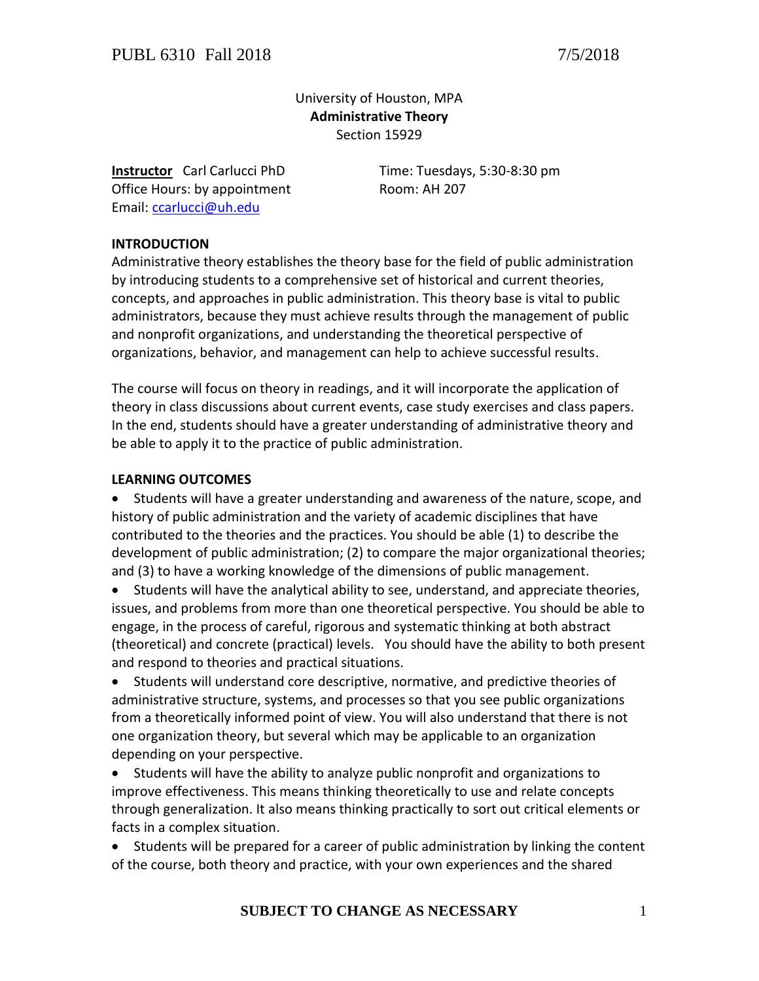# University of Houston, MPA **Administrative Theory** Section 15929

Office Hours: by appointment Room: AH 207 Email: [ccarlucci@uh.edu](mailto:ccarlucci@uh.edu)

**Instructor** Carl Carlucci PhD Time: Tuesdays, 5:30-8:30 pm

## **INTRODUCTION**

Administrative theory establishes the theory base for the field of public administration by introducing students to a comprehensive set of historical and current theories, concepts, and approaches in public administration. This theory base is vital to public administrators, because they must achieve results through the management of public and nonprofit organizations, and understanding the theoretical perspective of organizations, behavior, and management can help to achieve successful results.

The course will focus on theory in readings, and it will incorporate the application of theory in class discussions about current events, case study exercises and class papers. In the end, students should have a greater understanding of administrative theory and be able to apply it to the practice of public administration.

#### **LEARNING OUTCOMES**

 Students will have a greater understanding and awareness of the nature, scope, and history of public administration and the variety of academic disciplines that have contributed to the theories and the practices. You should be able (1) to describe the development of public administration; (2) to compare the major organizational theories; and (3) to have a working knowledge of the dimensions of public management.

 Students will have the analytical ability to see, understand, and appreciate theories, issues, and problems from more than one theoretical perspective. You should be able to engage, in the process of careful, rigorous and systematic thinking at both abstract (theoretical) and concrete (practical) levels. You should have the ability to both present and respond to theories and practical situations.

 Students will understand core descriptive, normative, and predictive theories of administrative structure, systems, and processes so that you see public organizations from a theoretically informed point of view. You will also understand that there is not one organization theory, but several which may be applicable to an organization depending on your perspective.

 Students will have the ability to analyze public nonprofit and organizations to improve effectiveness. This means thinking theoretically to use and relate concepts through generalization. It also means thinking practically to sort out critical elements or facts in a complex situation.

 Students will be prepared for a career of public administration by linking the content of the course, both theory and practice, with your own experiences and the shared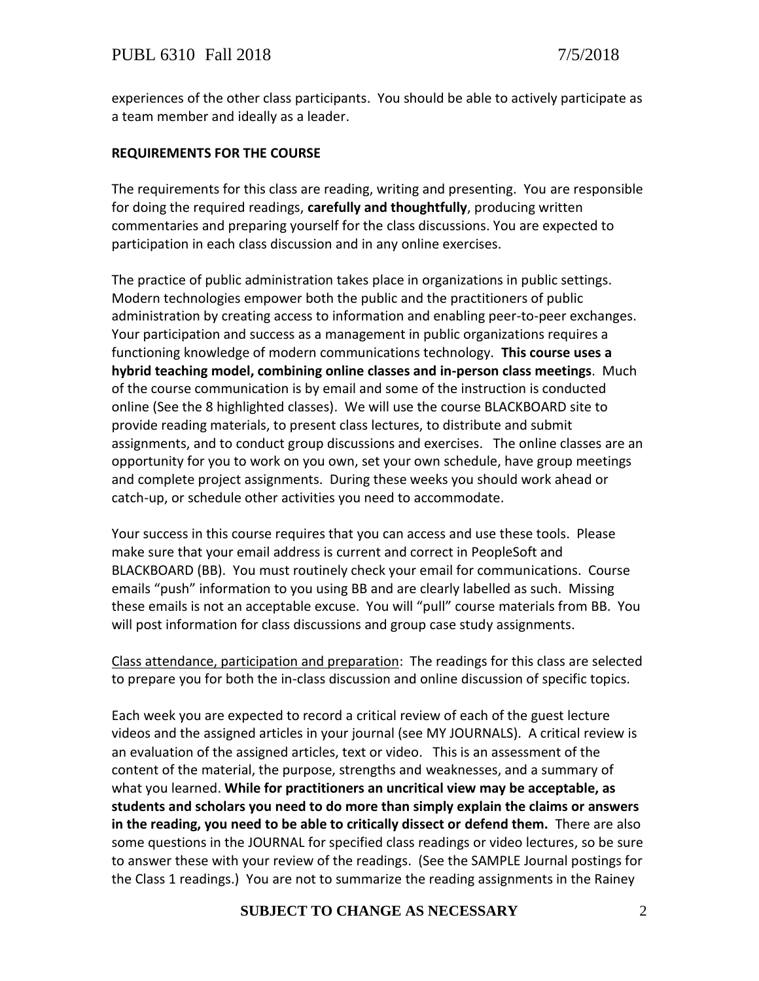experiences of the other class participants. You should be able to actively participate as a team member and ideally as a leader.

### **REQUIREMENTS FOR THE COURSE**

The requirements for this class are reading, writing and presenting. You are responsible for doing the required readings, **carefully and thoughtfully**, producing written commentaries and preparing yourself for the class discussions. You are expected to participation in each class discussion and in any online exercises.

The practice of public administration takes place in organizations in public settings. Modern technologies empower both the public and the practitioners of public administration by creating access to information and enabling peer-to-peer exchanges. Your participation and success as a management in public organizations requires a functioning knowledge of modern communications technology. **This course uses a hybrid teaching model, combining online classes and in-person class meetings**. Much of the course communication is by email and some of the instruction is conducted online (See the 8 highlighted classes). We will use the course BLACKBOARD site to provide reading materials, to present class lectures, to distribute and submit assignments, and to conduct group discussions and exercises. The online classes are an opportunity for you to work on you own, set your own schedule, have group meetings and complete project assignments. During these weeks you should work ahead or catch-up, or schedule other activities you need to accommodate.

Your success in this course requires that you can access and use these tools. Please make sure that your email address is current and correct in PeopleSoft and BLACKBOARD (BB). You must routinely check your email for communications. Course emails "push" information to you using BB and are clearly labelled as such. Missing these emails is not an acceptable excuse. You will "pull" course materials from BB. You will post information for class discussions and group case study assignments.

Class attendance, participation and preparation: The readings for this class are selected to prepare you for both the in-class discussion and online discussion of specific topics.

Each week you are expected to record a critical review of each of the guest lecture videos and the assigned articles in your journal (see MY JOURNALS). A critical review is an evaluation of the assigned articles, text or video. This is an assessment of the content of the material, the purpose, strengths and weaknesses, and a summary of what you learned. **While for practitioners an uncritical view may be acceptable, as students and scholars you need to do more than simply explain the claims or answers in the reading, you need to be able to critically dissect or defend them.** There are also some questions in the JOURNAL for specified class readings or video lectures, so be sure to answer these with your review of the readings. (See the SAMPLE Journal postings for the Class 1 readings.) You are not to summarize the reading assignments in the Rainey

#### **SUBJECT TO CHANGE AS NECESSARY** 2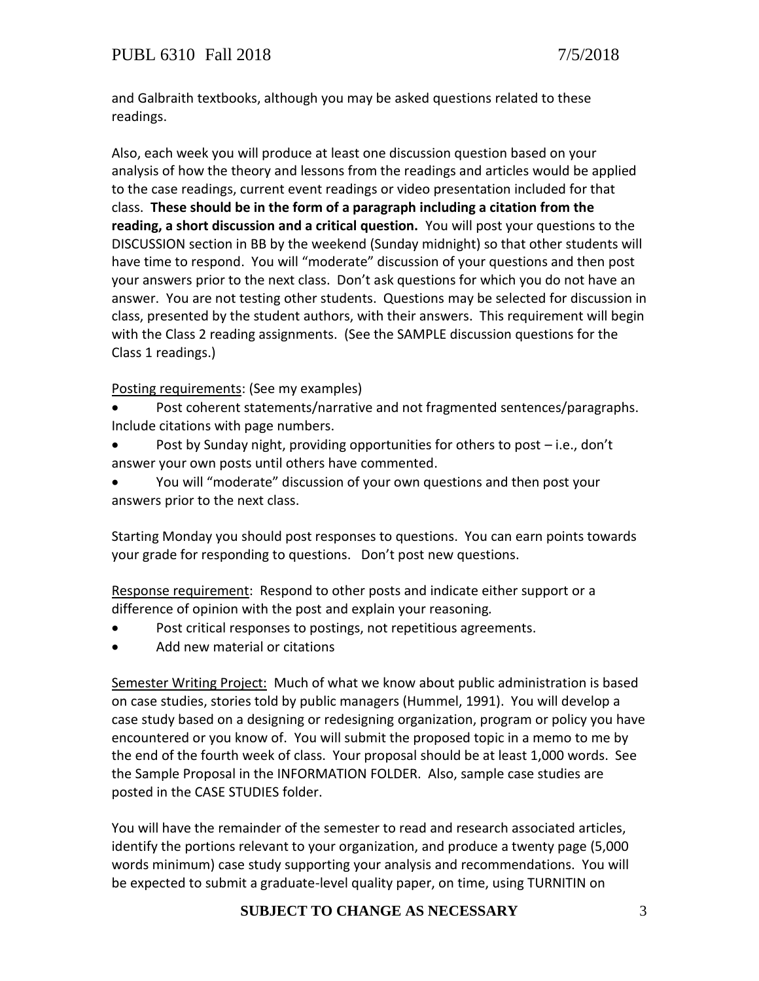and Galbraith textbooks, although you may be asked questions related to these readings.

Also, each week you will produce at least one discussion question based on your analysis of how the theory and lessons from the readings and articles would be applied to the case readings, current event readings or video presentation included for that class. **These should be in the form of a paragraph including a citation from the reading, a short discussion and a critical question.** You will post your questions to the DISCUSSION section in BB by the weekend (Sunday midnight) so that other students will have time to respond. You will "moderate" discussion of your questions and then post your answers prior to the next class. Don't ask questions for which you do not have an answer. You are not testing other students. Questions may be selected for discussion in class, presented by the student authors, with their answers. This requirement will begin with the Class 2 reading assignments. (See the SAMPLE discussion questions for the Class 1 readings.)

### Posting requirements: (See my examples)

- Post coherent statements/narrative and not fragmented sentences/paragraphs. Include citations with page numbers.
- Post by Sunday night, providing opportunities for others to post i.e., don't answer your own posts until others have commented.
- You will "moderate" discussion of your own questions and then post your answers prior to the next class.

Starting Monday you should post responses to questions. You can earn points towards your grade for responding to questions. Don't post new questions.

Response requirement: Respond to other posts and indicate either support or a difference of opinion with the post and explain your reasoning*.*

- Post critical responses to postings, not repetitious agreements.
- Add new material or citations

Semester Writing Project: Much of what we know about public administration is based on case studies, stories told by public managers (Hummel, 1991). You will develop a case study based on a designing or redesigning organization, program or policy you have encountered or you know of. You will submit the proposed topic in a memo to me by the end of the fourth week of class. Your proposal should be at least 1,000 words. See the Sample Proposal in the INFORMATION FOLDER. Also, sample case studies are posted in the CASE STUDIES folder.

You will have the remainder of the semester to read and research associated articles, identify the portions relevant to your organization, and produce a twenty page (5,000 words minimum) case study supporting your analysis and recommendations. You will be expected to submit a graduate-level quality paper, on time, using TURNITIN on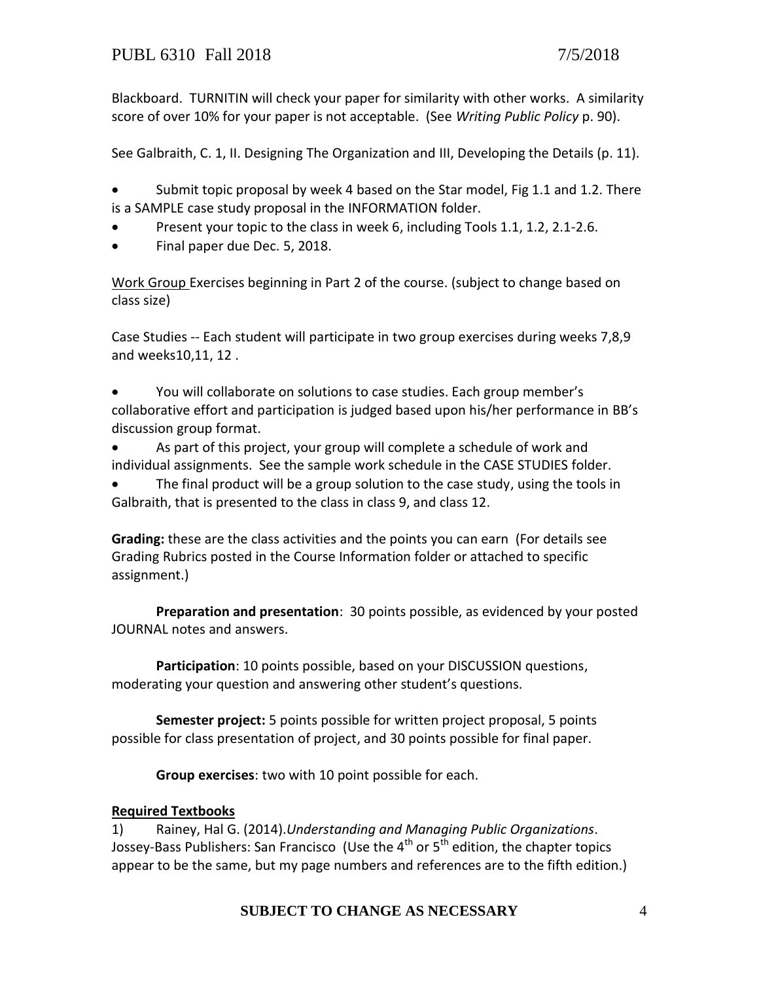Blackboard. TURNITIN will check your paper for similarity with other works. A similarity score of over 10% for your paper is not acceptable. (See *Writing Public Policy* p. 90).

See Galbraith, C. 1, II. Designing The Organization and III, Developing the Details (p. 11).

 Submit topic proposal by week 4 based on the Star model, Fig 1.1 and 1.2. There is a SAMPLE case study proposal in the INFORMATION folder.

- Present your topic to the class in week 6, including Tools 1.1, 1.2, 2.1-2.6.
- Final paper due Dec. 5, 2018.

Work Group Exercises beginning in Part 2 of the course. (subject to change based on class size)

Case Studies -- Each student will participate in two group exercises during weeks 7,8,9 and weeks10,11, 12 .

 You will collaborate on solutions to case studies. Each group member's collaborative effort and participation is judged based upon his/her performance in BB's discussion group format.

 As part of this project, your group will complete a schedule of work and individual assignments. See the sample work schedule in the CASE STUDIES folder.

 The final product will be a group solution to the case study, using the tools in Galbraith, that is presented to the class in class 9, and class 12.

**Grading:** these are the class activities and the points you can earn (For details see Grading Rubrics posted in the Course Information folder or attached to specific assignment.)

**Preparation and presentation**: 30 points possible, as evidenced by your posted JOURNAL notes and answers.

**Participation**: 10 points possible, based on your DISCUSSION questions, moderating your question and answering other student's questions.

**Semester project:** 5 points possible for written project proposal, 5 points possible for class presentation of project, and 30 points possible for final paper.

**Group exercises**: two with 10 point possible for each.

## **Required Textbooks**

1) Rainey, Hal G. (2014).*Understanding and Managing Public Organizations*. Jossey-Bass Publishers: San Francisco (Use the  $4^{\text{th}}$  or  $5^{\text{th}}$  edition, the chapter topics appear to be the same, but my page numbers and references are to the fifth edition.)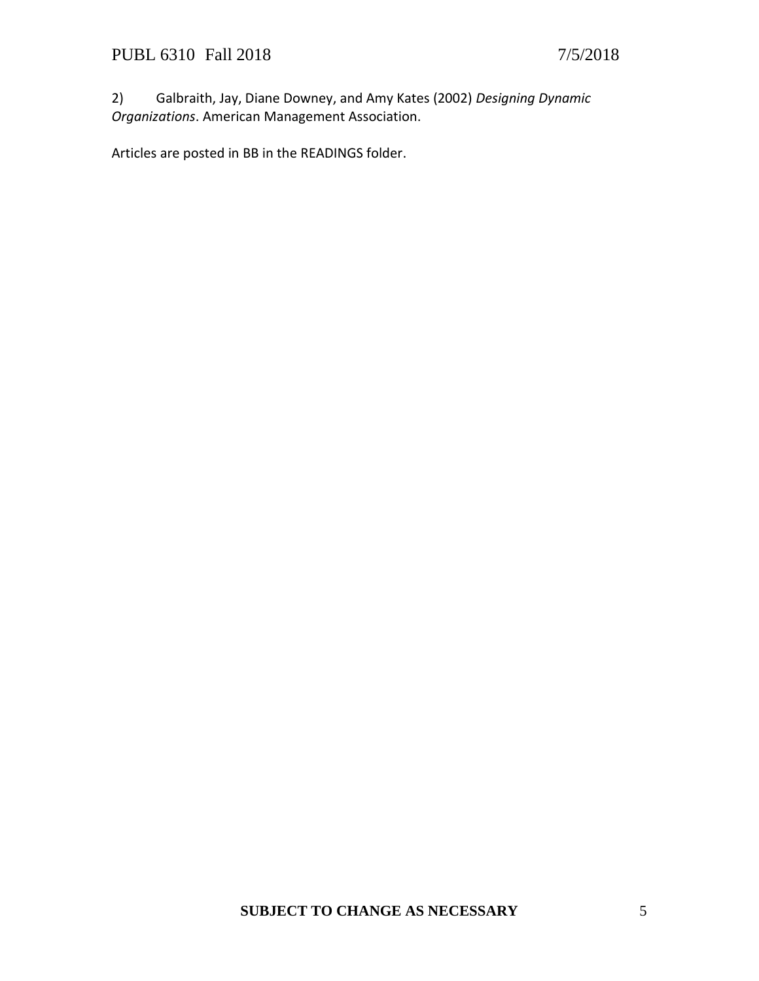2) Galbraith, Jay, Diane Downey, and Amy Kates (2002) *Designing Dynamic Organizations*. American Management Association.

Articles are posted in BB in the READINGS folder.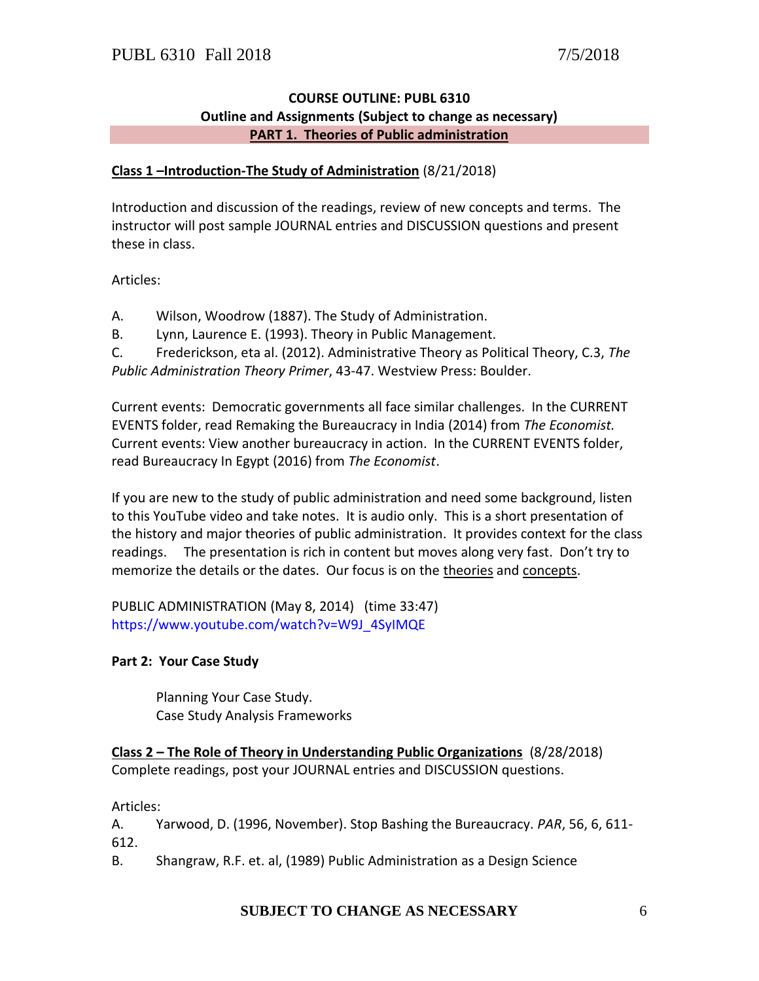### **COURSE OUTLINE: PUBL 6310 Outline and Assignments (Subject to change as necessary) PART 1. Theories of Public administration**

### **Class 1 –Introduction-The Study of Administration** (8/21/2018)

Introduction and discussion of the readings, review of new concepts and terms. The instructor will post sample JOURNAL entries and DISCUSSION questions and present these in class.

Articles:

A. Wilson, Woodrow (1887). The Study of Administration.

B. Lynn, Laurence E. (1993). Theory in Public Management.

C. Frederickson, eta al. (2012). Administrative Theory as Political Theory, C.3, *The Public Administration Theory Primer*, 43-47. Westview Press: Boulder.

Current events: Democratic governments all face similar challenges. In the CURRENT EVENTS folder, read Remaking the Bureaucracy in India (2014) from *The Economist.* Current events: View another bureaucracy in action. In the CURRENT EVENTS folder, read Bureaucracy In Egypt (2016) from *The Economist*.

If you are new to the study of public administration and need some background, listen to this YouTube video and take notes. It is audio only. This is a short presentation of the history and major theories of public administration. It provides context for the class readings. The presentation is rich in content but moves along very fast. Don't try to memorize the details or the dates. Our focus is on the theories and concepts.

PUBLIC ADMINISTRATION (May 8, 2014) (time 33:47) [https://www.youtube.com/watch?v=W9J\\_4SyIMQE](https://www.youtube.com/watch?v=W9J_4SyIMQE)

#### **Part 2: Your Case Study**

Planning Your Case Study. Case Study Analysis Frameworks

**Class 2 – The Role of Theory in Understanding Public Organizations** (8/28/2018) Complete readings, post your JOURNAL entries and DISCUSSION questions.

Articles:

A. Yarwood, D. (1996, November). Stop Bashing the Bureaucracy. *PAR*, 56, 6, 611- 612.

B. Shangraw, R.F. et. al, (1989) Public Administration as a Design Science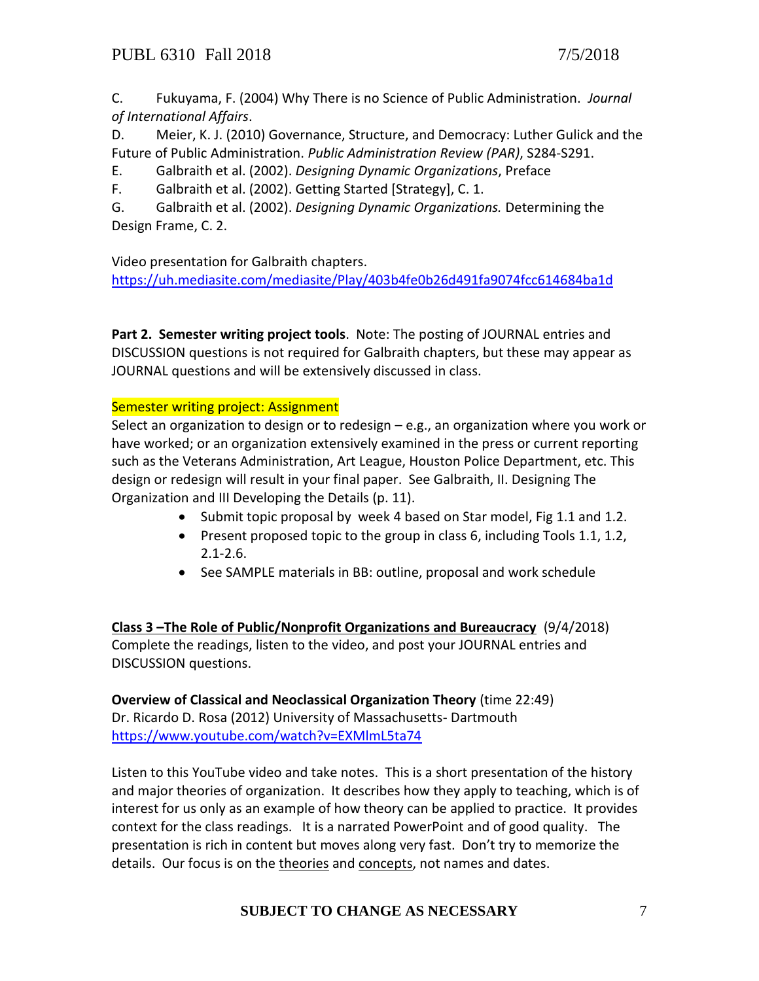C. Fukuyama, F. (2004) Why There is no Science of Public Administration. *Journal of International Affairs*.

D. Meier, K. J. (2010) Governance, Structure, and Democracy: Luther Gulick and the Future of Public Administration. *Public Administration Review (PAR)*, S284-S291.

E. Galbraith et al. (2002). *Designing Dynamic Organizations*, Preface

F. Galbraith et al. (2002). Getting Started [Strategy], C. 1.

G. Galbraith et al. (2002). *Designing Dynamic Organizations.* Determining the Design Frame, C. 2.

Video presentation for Galbraith chapters.

<https://uh.mediasite.com/mediasite/Play/403b4fe0b26d491fa9074fcc614684ba1d>

**Part 2. Semester writing project tools**. Note: The posting of JOURNAL entries and DISCUSSION questions is not required for Galbraith chapters, but these may appear as JOURNAL questions and will be extensively discussed in class.

Semester writing project: Assignment

Select an organization to design or to redesign – e.g., an organization where you work or have worked; or an organization extensively examined in the press or current reporting such as the Veterans Administration, Art League, Houston Police Department, etc. This design or redesign will result in your final paper. See Galbraith, II. Designing The Organization and III Developing the Details (p. 11).

- Submit topic proposal by week 4 based on Star model, Fig 1.1 and 1.2.
- Present proposed topic to the group in class 6, including Tools 1.1, 1.2, 2.1-2.6.
- See SAMPLE materials in BB: outline, proposal and work schedule

**Class 3 –The Role of Public/Nonprofit Organizations and Bureaucracy** (9/4/2018) Complete the readings, listen to the video, and post your JOURNAL entries and DISCUSSION questions.

**Overview of Classical and Neoclassical Organization Theory** (time 22:49) Dr. Ricardo D. Rosa (2012) University of Massachusetts- Dartmouth <https://www.youtube.com/watch?v=EXMlmL5ta74>

Listen to this YouTube video and take notes. This is a short presentation of the history and major theories of organization. It describes how they apply to teaching, which is of interest for us only as an example of how theory can be applied to practice. It provides context for the class readings. It is a narrated PowerPoint and of good quality. The presentation is rich in content but moves along very fast. Don't try to memorize the details. Our focus is on the theories and concepts, not names and dates.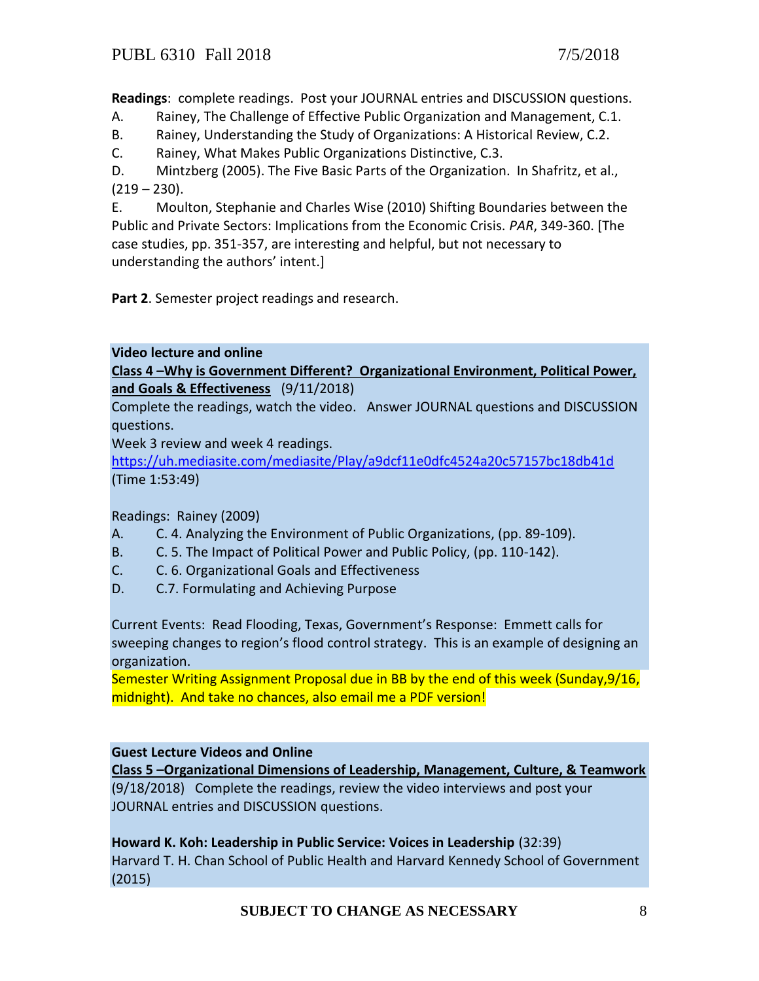**Readings**: complete readings. Post your JOURNAL entries and DISCUSSION questions.

- A. Rainey, The Challenge of Effective Public Organization and Management, C.1.
- B. Rainey, Understanding the Study of Organizations: A Historical Review, C.2.
- C. Rainey, What Makes Public Organizations Distinctive, C.3.

D. Mintzberg (2005). The Five Basic Parts of the Organization. In Shafritz, et al.,  $(219 - 230)$ .

E. Moulton, Stephanie and Charles Wise (2010) Shifting Boundaries between the Public and Private Sectors: Implications from the Economic Crisis. *PAR*, 349-360. [The case studies, pp. 351-357, are interesting and helpful, but not necessary to understanding the authors' intent.]

**Part 2**. Semester project readings and research.

**Video lecture and online**

**Class 4 –Why is Government Different? Organizational Environment, Political Power, and Goals & Effectiveness** (9/11/2018)

Complete the readings, watch the video. Answer JOURNAL questions and DISCUSSION questions.

Week 3 review and week 4 readings.

<https://uh.mediasite.com/mediasite/Play/a9dcf11e0dfc4524a20c57157bc18db41d> (Time 1:53:49)

Readings: Rainey (2009)

- A. C. 4. Analyzing the Environment of Public Organizations, (pp. 89-109).
- B. C. 5. The Impact of Political Power and Public Policy, (pp. 110-142).
- C. C. 6. Organizational Goals and Effectiveness
- D. C.7. Formulating and Achieving Purpose

Current Events: Read Flooding, Texas, Government's Response: Emmett calls for sweeping changes to region's flood control strategy. This is an example of designing an organization.

Semester Writing Assignment Proposal due in BB by the end of this week (Sunday,9/16, midnight). And take no chances, also email me a PDF version!

#### **Guest Lecture Videos and Online**

**Class 5 –Organizational Dimensions of Leadership, Management, Culture, & Teamwork** (9/18/2018) Complete the readings, review the video interviews and post your JOURNAL entries and DISCUSSION questions.

## **Howard K. Koh: Leadership in Public Service: Voices in Leadership** (32:39)

Harvard T. H. Chan School of Public Health and Harvard Kennedy School of Government (2015)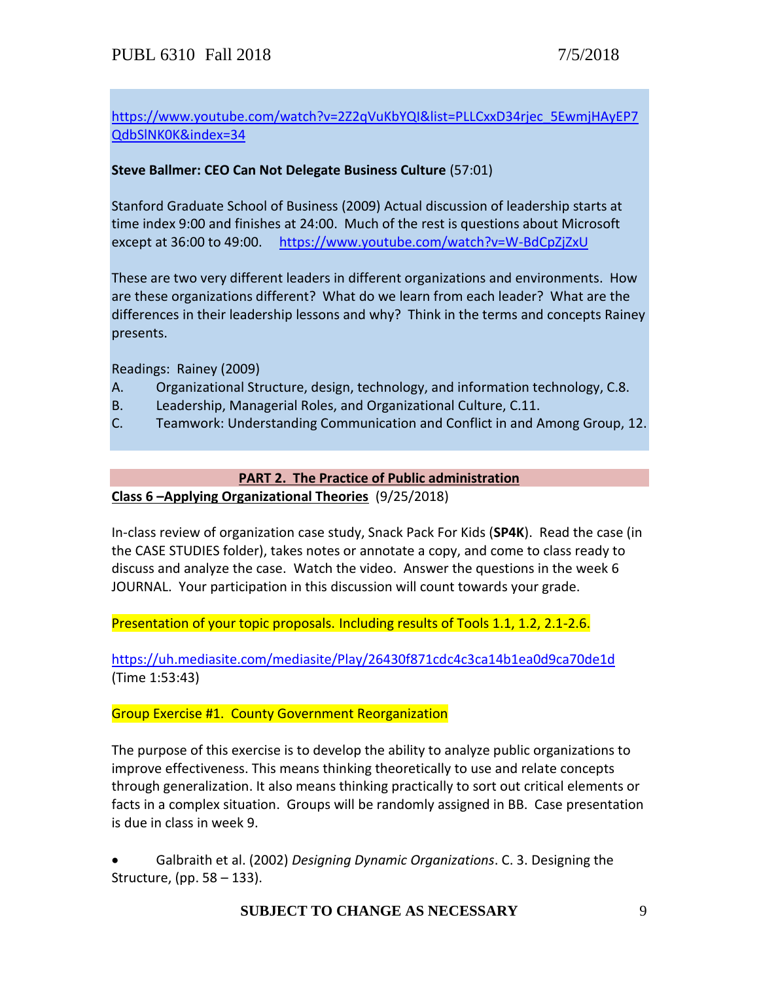# [https://www.youtube.com/watch?v=2Z2qVuKbYQI&list=PLLCxxD34rjec\\_5EwmjHAyEP7](https://www.youtube.com/watch?v=2Z2qVuKbYQI&list=PLLCxxD34rjec_5EwmjHAyEP7QdbSlNK0K&index=34) [QdbSlNK0K&index=34](https://www.youtube.com/watch?v=2Z2qVuKbYQI&list=PLLCxxD34rjec_5EwmjHAyEP7QdbSlNK0K&index=34)

# **Steve Ballmer: CEO Can Not Delegate Business Culture** (57:01)

Stanford Graduate School of Business (2009) Actual discussion of leadership starts at time index 9:00 and finishes at 24:00. Much of the rest is questions about Microsoft except at 36:00 to 49:00. <https://www.youtube.com/watch?v=W-BdCpZjZxU>

These are two very different leaders in different organizations and environments. How are these organizations different? What do we learn from each leader? What are the differences in their leadership lessons and why? Think in the terms and concepts Rainey presents.

Readings: Rainey (2009)

- A. Organizational Structure, design, technology, and information technology, C.8.
- B. Leadership, Managerial Roles, and Organizational Culture, C.11.
- C. Teamwork: Understanding Communication and Conflict in and Among Group, 12.

### **PART 2. The Practice of Public administration**

**Class 6 –Applying Organizational Theories** (9/25/2018)

In-class review of organization case study, Snack Pack For Kids (**SP4K**). Read the case (in the CASE STUDIES folder), takes notes or annotate a copy, and come to class ready to discuss and analyze the case. Watch the video. Answer the questions in the week 6 JOURNAL. Your participation in this discussion will count towards your grade.

Presentation of your topic proposals. Including results of Tools 1.1, 1.2, 2.1-2.6.

<https://uh.mediasite.com/mediasite/Play/26430f871cdc4c3ca14b1ea0d9ca70de1d> (Time 1:53:43)

Group Exercise #1. County Government Reorganization

The purpose of this exercise is to develop the ability to analyze public organizations to improve effectiveness. This means thinking theoretically to use and relate concepts through generalization. It also means thinking practically to sort out critical elements or facts in a complex situation. Groups will be randomly assigned in BB. Case presentation is due in class in week 9.

 Galbraith et al. (2002) *Designing Dynamic Organizations*. C. 3. Designing the Structure, (pp. 58 – 133).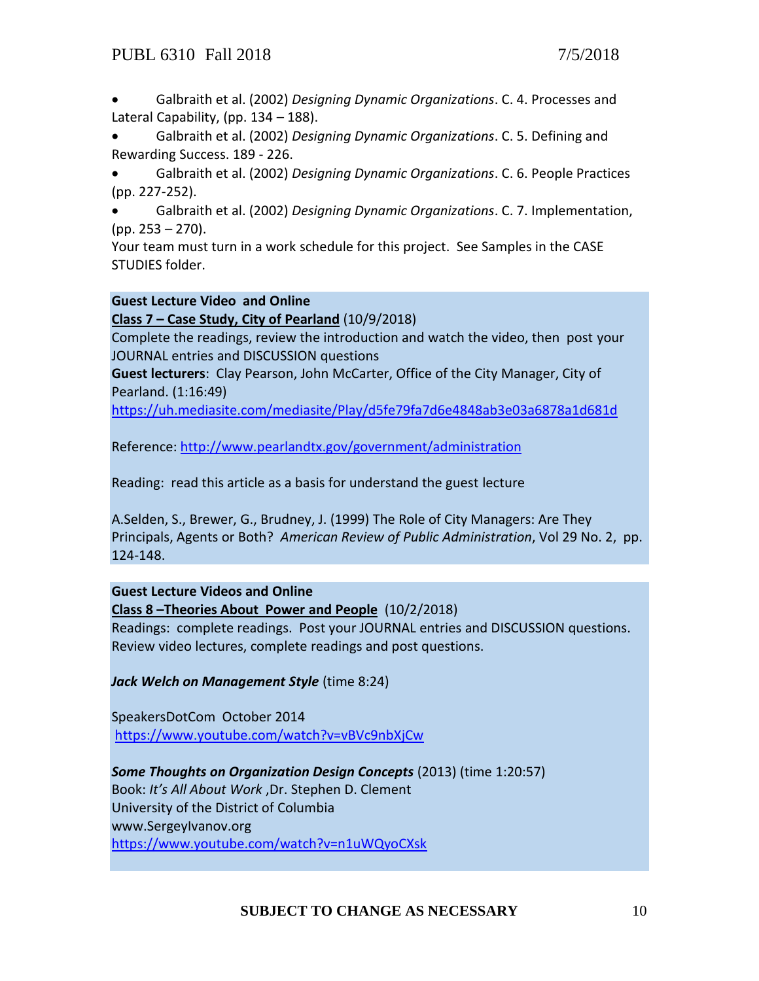Galbraith et al. (2002) *Designing Dynamic Organizations*. C. 4. Processes and Lateral Capability, (pp. 134 – 188).

 Galbraith et al. (2002) *Designing Dynamic Organizations*. C. 5. Defining and Rewarding Success. 189 - 226.

 Galbraith et al. (2002) *Designing Dynamic Organizations*. C. 6. People Practices (pp. 227-252).

 Galbraith et al. (2002) *Designing Dynamic Organizations*. C. 7. Implementation, (pp. 253 – 270).

Your team must turn in a work schedule for this project. See Samples in the CASE STUDIES folder.

## **Guest Lecture Video and Online**

**Class 7 – Case Study, City of Pearland** (10/9/2018)

Complete the readings, review the introduction and watch the video, then post your JOURNAL entries and DISCUSSION questions

**Guest lecturers**: Clay Pearson, John McCarter, Office of the City Manager, City of Pearland. (1:16:49)

<https://uh.mediasite.com/mediasite/Play/d5fe79fa7d6e4848ab3e03a6878a1d681d>

Reference: <http://www.pearlandtx.gov/government/administration>

Reading: read this article as a basis for understand the guest lecture

A.Selden, S., Brewer, G., Brudney, J. (1999) The Role of City Managers: Are They Principals, Agents or Both? *American Review of Public Administration*, Vol 29 No. 2, pp. 124-148.

**Guest Lecture Videos and Online**

# **Class 8 –Theories About Power and People** (10/2/2018)

Readings: complete readings. Post your JOURNAL entries and DISCUSSION questions. Review video lectures, complete readings and post questions.

# *Jack Welch on Management Style* (time 8:24)

SpeakersDotCom October 2014 <https://www.youtube.com/watch?v=vBVc9nbXjCw>

*Some Thoughts on Organization Design Concepts* (2013) (time 1:20:57) Book: *It's All About Work* ,Dr. Stephen D. Clement University of the District of Columbia www.SergeyIvanov.org <https://www.youtube.com/watch?v=n1uWQyoCXsk>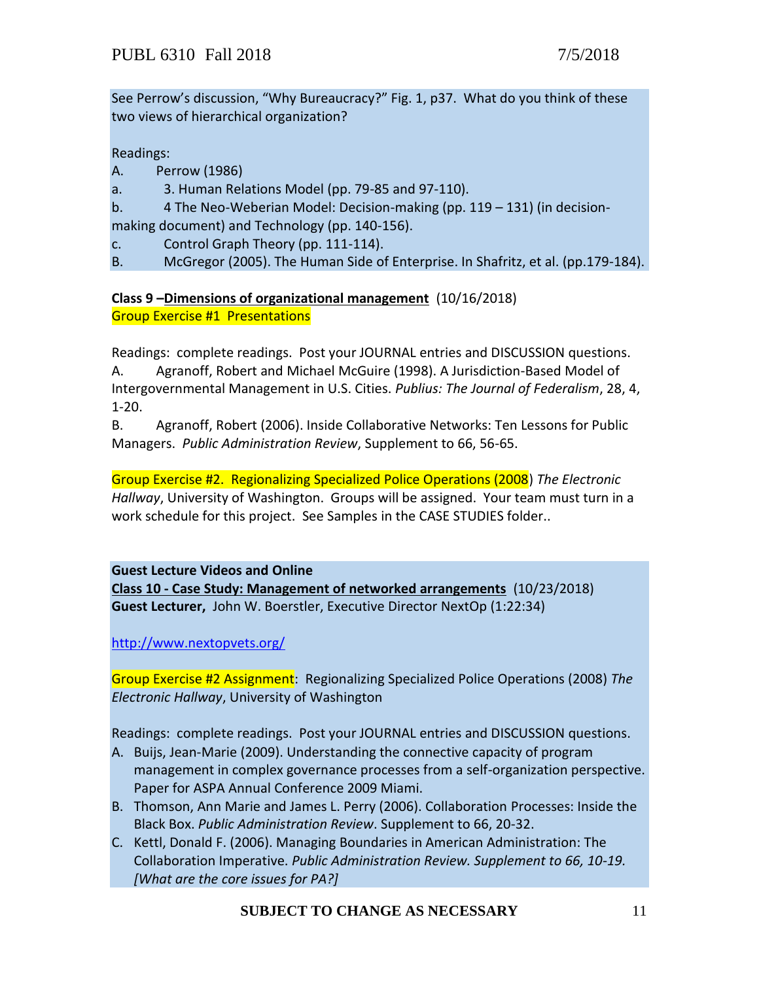See Perrow's discussion, "Why Bureaucracy?" Fig. 1, p37. What do you think of these two views of hierarchical organization?

Readings:

- A. Perrow (1986)
- a. 3. Human Relations Model (pp. 79-85 and 97-110).
- b. 4 The Neo-Weberian Model: Decision-making (pp. 119 131) (in decisionmaking document) and Technology (pp. 140-156).
- c. Control Graph Theory (pp. 111-114).
- B. McGregor (2005). The Human Side of Enterprise. In Shafritz, et al. (pp.179-184).

**Class 9 –Dimensions of organizational management** (10/16/2018) Group Exercise #1 Presentations

Readings: complete readings. Post your JOURNAL entries and DISCUSSION questions. A. Agranoff, Robert and Michael McGuire (1998). A Jurisdiction-Based Model of Intergovernmental Management in U.S. Cities. *Publius: The Journal of Federalism*, 28, 4, 1-20.

B. Agranoff, Robert (2006). Inside Collaborative Networks: Ten Lessons for Public Managers. *Public Administration Review*, Supplement to 66, 56-65.

Group Exercise #2. Regionalizing Specialized Police Operations (2008) *The Electronic Hallway*, University of Washington. Groups will be assigned. Your team must turn in a work schedule for this project. See Samples in the CASE STUDIES folder..

**Guest Lecture Videos and Online**

**Class 10 - Case Study: Management of networked arrangements** (10/23/2018) **Guest Lecturer,** John W. Boerstler, Executive Director NextOp (1:22:34)

<http://www.nextopvets.org/>

Group Exercise #2 Assignment: Regionalizing Specialized Police Operations (2008) *The Electronic Hallway*, University of Washington

Readings: complete readings. Post your JOURNAL entries and DISCUSSION questions.

- A. Buijs, Jean-Marie (2009). Understanding the connective capacity of program management in complex governance processes from a self-organization perspective. Paper for ASPA Annual Conference 2009 Miami.
- B. Thomson, Ann Marie and James L. Perry (2006). Collaboration Processes: Inside the Black Box. *Public Administration Review*. Supplement to 66, 20-32.
- C. Kettl, Donald F. (2006). Managing Boundaries in American Administration: The Collaboration Imperative. *Public Administration Review. Supplement to 66, 10-19. [What are the core issues for PA?]*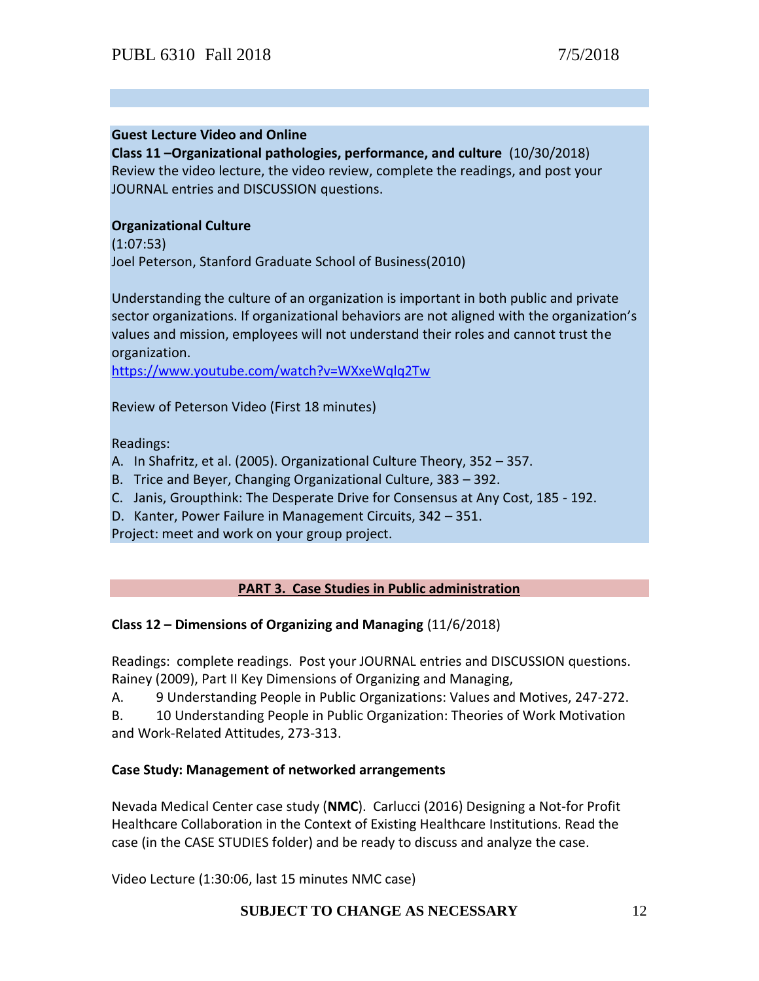#### **Guest Lecture Video and Online**

**Class 11 –Organizational pathologies, performance, and culture** (10/30/2018) Review the video lecture, the video review, complete the readings, and post your JOURNAL entries and DISCUSSION questions.

### **Organizational Culture**

(1:07:53) Joel Peterson, Stanford [Graduate](https://www.youtube.com/channel/UCGwuxdEeCf0TIA2RbPOj-8g) School of Business(2010)

Understanding the culture of an organization is important in both public and private sector organizations. If organizational behaviors are not aligned with the organization's values and mission, employees will not understand their roles and cannot trust the organization.

<https://www.youtube.com/watch?v=WXxeWqlq2Tw>

Review of Peterson Video (First 18 minutes)

Readings:

- A. In Shafritz, et al. (2005). Organizational Culture Theory, 352 357.
- B. Trice and Beyer, Changing Organizational Culture, 383 392.
- C. Janis, Groupthink: The Desperate Drive for Consensus at Any Cost, 185 192.
- D. Kanter, Power Failure in Management Circuits, 342 351.

Project: meet and work on your group project.

## **PART 3. Case Studies in Public administration**

#### **Class 12 – Dimensions of Organizing and Managing** (11/6/2018)

Readings: complete readings. Post your JOURNAL entries and DISCUSSION questions. Rainey (2009), Part II Key Dimensions of Organizing and Managing,

A. 9 Understanding People in Public Organizations: Values and Motives, 247-272.

B. 10 Understanding People in Public Organization: Theories of Work Motivation and Work-Related Attitudes, 273-313.

## **Case Study: Management of networked arrangements**

Nevada Medical Center case study (**NMC**). Carlucci (2016) Designing a Not-for Profit Healthcare Collaboration in the Context of Existing Healthcare Institutions. Read the case (in the CASE STUDIES folder) and be ready to discuss and analyze the case.

Video Lecture (1:30:06, last 15 minutes NMC case)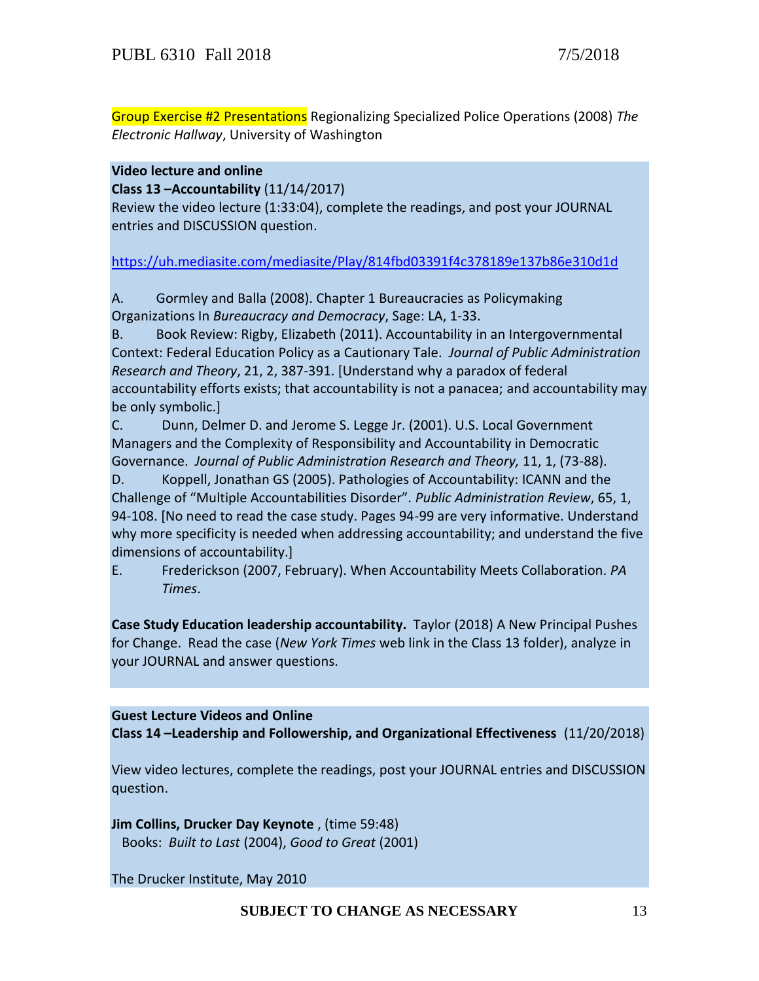Group Exercise #2 Presentations Regionalizing Specialized Police Operations (2008) *The Electronic Hallway*, University of Washington

# **Video lecture and online**

**Class 13 –Accountability** (11/14/2017)

Review the video lecture (1:33:04), complete the readings, and post your JOURNAL entries and DISCUSSION question.

## <https://uh.mediasite.com/mediasite/Play/814fbd03391f4c378189e137b86e310d1d>

A. Gormley and Balla (2008). Chapter 1 Bureaucracies as Policymaking Organizations In *Bureaucracy and Democracy*, Sage: LA, 1-33.

B. Book Review: Rigby, Elizabeth (2011). Accountability in an Intergovernmental Context: Federal Education Policy as a Cautionary Tale. *Journal of Public Administration Research and Theory*, 21, 2, 387-391. [Understand why a paradox of federal accountability efforts exists; that accountability is not a panacea; and accountability may be only symbolic.]

C. Dunn, Delmer D. and Jerome S. Legge Jr. (2001). U.S. Local Government Managers and the Complexity of Responsibility and Accountability in Democratic Governance. *Journal of Public Administration Research and Theory,* 11, 1, (73-88).

D. Koppell, Jonathan GS (2005). Pathologies of Accountability: ICANN and the Challenge of "Multiple Accountabilities Disorder". *Public Administration Review*, 65, 1, 94-108. [No need to read the case study. Pages 94-99 are very informative. Understand why more specificity is needed when addressing accountability; and understand the five dimensions of accountability.]

E. Frederickson (2007, February). When Accountability Meets Collaboration. *PA Times*.

**Case Study Education leadership accountability.** Taylor (2018) A New Principal Pushes for Change. Read the case (*New York Times* web link in the Class 13 folder), analyze in your JOURNAL and answer questions.

**Guest Lecture Videos and Online Class 14 –Leadership and Followership, and Organizational Effectiveness** (11/20/2018)

View video lectures, complete the readings, post your JOURNAL entries and DISCUSSION question.

**Jim Collins, Drucker Day Keynote** , (time 59:48) Books: *Built to Last* (2004), *Good to Great* (2001)

The Drucker Institute, May 2010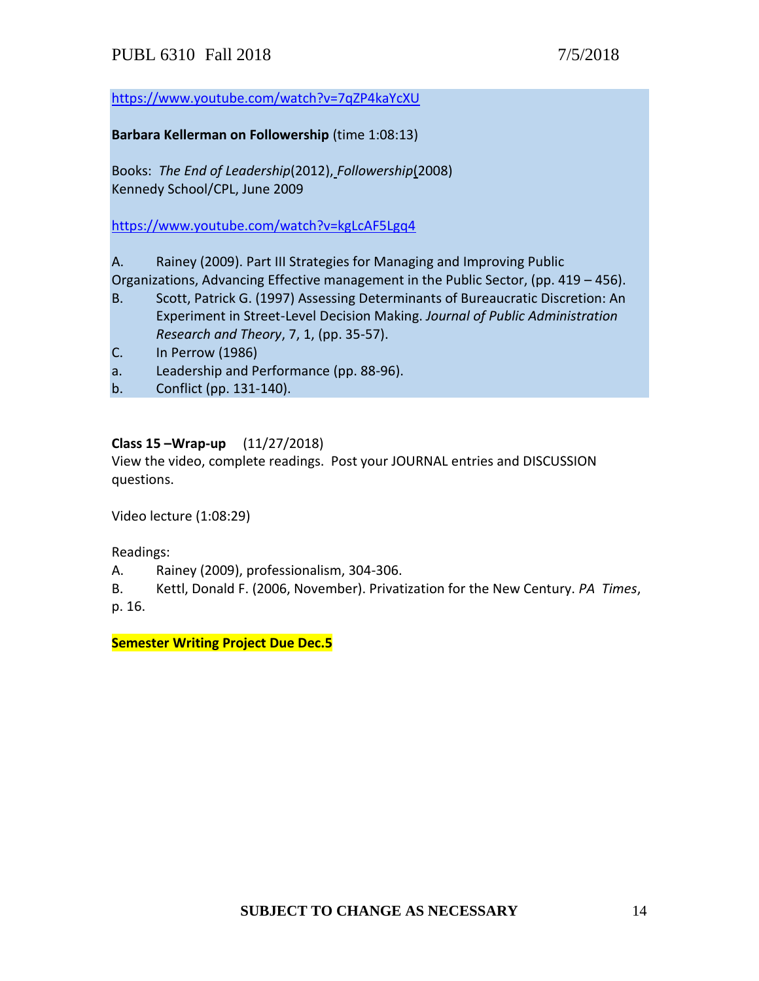<https://www.youtube.com/watch?v=7qZP4kaYcXU>

### **Barbara Kellerman on Followership** (time 1:08:13)

Books: *The End of Leadership*(2012), *Followership*(2008) Kennedy School/CPL, June 2009

<https://www.youtube.com/watch?v=kgLcAF5Lgq4>

A. Rainey (2009). Part III Strategies for Managing and Improving Public

Organizations, Advancing Effective management in the Public Sector, (pp. 419 – 456).

- B. Scott, Patrick G. (1997) Assessing Determinants of Bureaucratic Discretion: An Experiment in Street-Level Decision Making. *Journal of Public Administration Research and Theory*, 7, 1, (pp. 35-57).
- C. In Perrow (1986)
- a. Leadership and Performance (pp. 88-96).
- b. Conflict (pp. 131-140).

# **Class 15 –Wrap-up** (11/27/2018)

View the video, complete readings. Post your JOURNAL entries and DISCUSSION questions.

Video lecture (1:08:29)

Readings:

- A. Rainey (2009), professionalism, 304-306.
- B. Kettl, Donald F. (2006, November). Privatization for the New Century. *PA Times*, p. 16.

**Semester Writing Project Due Dec.5**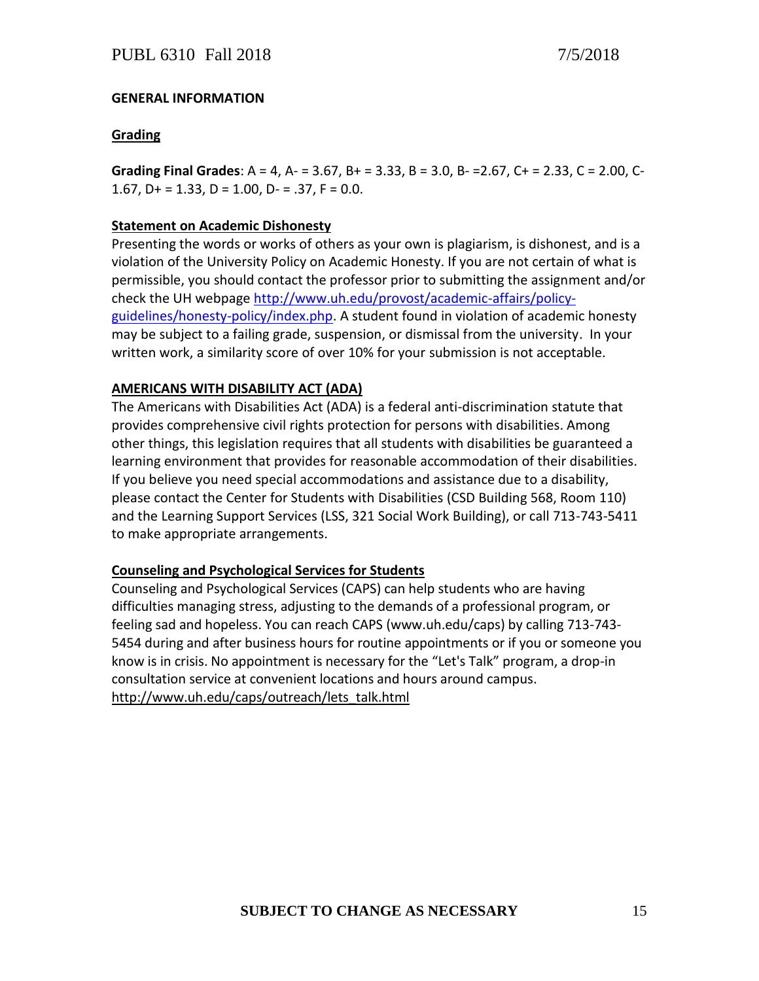# **GENERAL INFORMATION**

# **Grading**

**Grading Final Grades**: A = 4, A- = 3.67, B+ = 3.33, B = 3.0, B- =2.67, C+ = 2.33, C = 2.00, C-1.67,  $D+ = 1.33$ ,  $D = 1.00$ ,  $D- = .37$ ,  $F = 0.0$ .

### **Statement on Academic Dishonesty**

Presenting the words or works of others as your own is plagiarism, is dishonest, and is a violation of the University Policy on Academic Honesty. If you are not certain of what is permissible, you should contact the professor prior to submitting the assignment and/or check the UH webpag[e http://www.uh.edu/provost/academic-affairs/policy](http://www.uh.edu/provost/academic-affairs/policy-guidelines/honesty-policy/index.php)[guidelines/honesty-policy/index.php.](http://www.uh.edu/provost/academic-affairs/policy-guidelines/honesty-policy/index.php) A student found in violation of academic honesty may be subject to a failing grade, suspension, or dismissal from the university. In your written work, a similarity score of over 10% for your submission is not acceptable.

## **AMERICANS WITH DISABILITY ACT (ADA)**

The Americans with Disabilities Act (ADA) is a federal anti-discrimination statute that provides comprehensive civil rights protection for persons with disabilities. Among other things, this legislation requires that all students with disabilities be guaranteed a learning environment that provides for reasonable accommodation of their disabilities. If you believe you need special accommodations and assistance due to a disability, please contact the Center for Students with Disabilities (CSD Building 568, Room 110) and the Learning Support Services (LSS, 321 Social Work Building), or call 713-743-5411 to make appropriate arrangements.

## **Counseling and Psychological Services for Students**

Counseling and Psychological Services (CAPS) can help students who are having difficulties managing stress, adjusting to the demands of a professional program, or feeling sad and hopeless. You can reach CAPS (www.uh.edu/caps) by calling 713-743- 5454 during and after business hours for routine appointments or if you or someone you know is in crisis. No appointment is necessary for the "Let's Talk" program, a drop-in consultation service at convenient locations and hours around campus. [http://www.uh.edu/caps/outreach/lets\\_talk.html](http://www.uh.edu/caps/outreach/lets_talk.html)